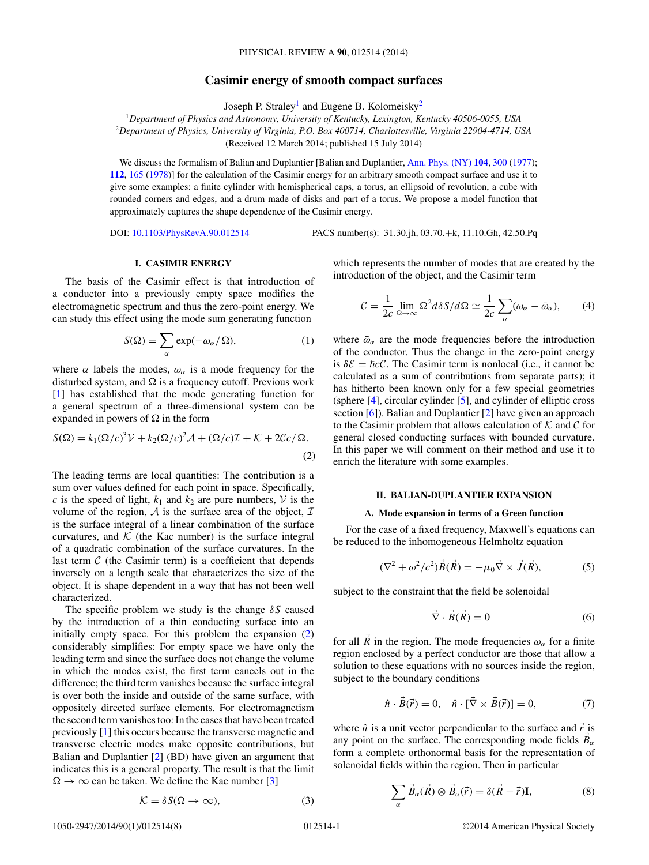# **Casimir energy of smooth compact surfaces**

Joseph P. Straley<sup>1</sup> and Eugene B. Kolomeisky<sup>2</sup>

<span id="page-0-0"></span><sup>1</sup>*Department of Physics and Astronomy, University of Kentucky, Lexington, Kentucky 40506-0055, USA* <sup>2</sup>*Department of Physics, University of Virginia, P.O. Box 400714, Charlottesville, Virginia 22904-4714, USA* (Received 12 March 2014; published 15 July 2014)

We discuss the formalism of Balian and Duplantier [Balian and Duplantier, [Ann. Phys. \(NY\)](http://dx.doi.org/10.1016/0003-4916(77)90334-7) **[104](http://dx.doi.org/10.1016/0003-4916(77)90334-7)**, [300](http://dx.doi.org/10.1016/0003-4916(77)90334-7) [\(1977\)](http://dx.doi.org/10.1016/0003-4916(77)90334-7); **[112](http://dx.doi.org/10.1016/0003-4916(78)90083-0)**, [165](http://dx.doi.org/10.1016/0003-4916(78)90083-0) [\(1978\)](http://dx.doi.org/10.1016/0003-4916(78)90083-0)] for the calculation of the Casimir energy for an arbitrary smooth compact surface and use it to give some examples: a finite cylinder with hemispherical caps, a torus, an ellipsoid of revolution, a cube with rounded corners and edges, and a drum made of disks and part of a torus. We propose a model function that approximately captures the shape dependence of the Casimir energy.

DOI: [10.1103/PhysRevA.90.012514](http://dx.doi.org/10.1103/PhysRevA.90.012514) PACS number(s): 31*.*30*.*jh*,* 03*.*70*.*+k*,* 11*.*10*.*Gh*,* 42*.*50*.*Pq

## **I. CASIMIR ENERGY**

The basis of the Casimir effect is that introduction of a conductor into a previously empty space modifies the electromagnetic spectrum and thus the zero-point energy. We can study this effect using the mode sum generating function

$$
S(\Omega) = \sum_{\alpha} \exp(-\omega_{\alpha}/\Omega), \qquad (1)
$$

where  $\alpha$  labels the modes,  $\omega_{\alpha}$  is a mode frequency for the disturbed system, and  $\Omega$  is a frequency cutoff. Previous work [\[1\]](#page-7-0) has established that the mode generating function for a general spectrum of a three-dimensional system can be expanded in powers of  $\Omega$  in the form

$$
S(\Omega) = k_1(\Omega/c)^3 \mathcal{V} + k_2(\Omega/c)^2 \mathcal{A} + (\Omega/c)\mathcal{I} + \mathcal{K} + 2\mathcal{C}c/\Omega.
$$
\n(2)

The leading terms are local quantities: The contribution is a sum over values defined for each point in space. Specifically, *c* is the speed of light,  $k_1$  and  $k_2$  are pure numbers,  $V$  is the volume of the region,  $A$  is the surface area of the object,  $I$ is the surface integral of a linear combination of the surface curvatures, and  $K$  (the Kac number) is the surface integral of a quadratic combination of the surface curvatures. In the last term  $C$  (the Casimir term) is a coefficient that depends inversely on a length scale that characterizes the size of the object. It is shape dependent in a way that has not been well characterized.

The specific problem we study is the change *δS* caused by the introduction of a thin conducting surface into an initially empty space. For this problem the expansion (2) considerably simplifies: For empty space we have only the leading term and since the surface does not change the volume in which the modes exist, the first term cancels out in the difference; the third term vanishes because the surface integral is over both the inside and outside of the same surface, with oppositely directed surface elements. For electromagnetism the second term vanishes too: In the cases that have been treated previously [\[1\]](#page-7-0) this occurs because the transverse magnetic and transverse electric modes make opposite contributions, but Balian and Duplantier [\[2\]](#page-7-0) (BD) have given an argument that indicates this is a general property. The result is that the limit  $\Omega \rightarrow \infty$  can be taken. We define the Kac number [\[3\]](#page-7-0)

$$
\mathcal{K} = \delta S(\Omega \to \infty),\tag{3}
$$

which represents the number of modes that are created by the introduction of the object, and the Casimir term

$$
\mathcal{C} = \frac{1}{2c} \lim_{\Omega \to \infty} \Omega^2 d\delta S / d\Omega \simeq \frac{1}{2c} \sum_{\alpha} (\omega_{\alpha} - \bar{\omega}_{\alpha}),\tag{4}
$$

where  $\bar{\omega}_{\alpha}$  are the mode frequencies before the introduction of the conductor. Thus the change in the zero-point energy is  $\delta \mathcal{E} = \hbar c \mathcal{C}$ . The Casimir term is nonlocal (i.e., it cannot be calculated as a sum of contributions from separate parts); it has hitherto been known only for a few special geometries (sphere  $[4]$ , circular cylinder  $[5]$ , and cylinder of elliptic cross section [\[6\]](#page-7-0)). Balian and Duplantier [\[2\]](#page-7-0) have given an approach to the Casimir problem that allows calculation of  $K$  and  $C$  for general closed conducting surfaces with bounded curvature. In this paper we will comment on their method and use it to enrich the literature with some examples.

### **II. BALIAN-DUPLANTIER EXPANSION**

### **A. Mode expansion in terms of a Green function**

For the case of a fixed frequency, Maxwell's equations can be reduced to the inhomogeneous Helmholtz equation

$$
(\nabla^2 + \omega^2/c^2)\vec{B}(\vec{R}) = -\mu_0 \vec{\nabla} \times \vec{J}(\vec{R}),\tag{5}
$$

subject to the constraint that the field be solenoidal

$$
\vec{\nabla} \cdot \vec{B}(\vec{R}) = 0 \tag{6}
$$

for all  $\overline{R}$  in the region. The mode frequencies  $\omega_{\alpha}$  for a finite region enclosed by a perfect conductor are those that allow a solution to these equations with no sources inside the region, subject to the boundary conditions

$$
\hat{n} \cdot \vec{B}(\vec{r}) = 0, \quad \hat{n} \cdot [\vec{\nabla} \times \vec{B}(\vec{r})] = 0,
$$
 (7)

where  $\hat{n}$  is a unit vector perpendicular to the surface and  $\vec{r}$  is any point on the surface. The corresponding mode fields  $\vec{B}_{\alpha}$ form a complete orthonormal basis for the representation of solenoidal fields within the region. Then in particular

$$
\sum_{\alpha} \vec{B}_{\alpha}(\vec{R}) \otimes \vec{B}_{\alpha}(\vec{r}) = \delta(\vec{R} - \vec{r})\mathbf{I},\tag{8}
$$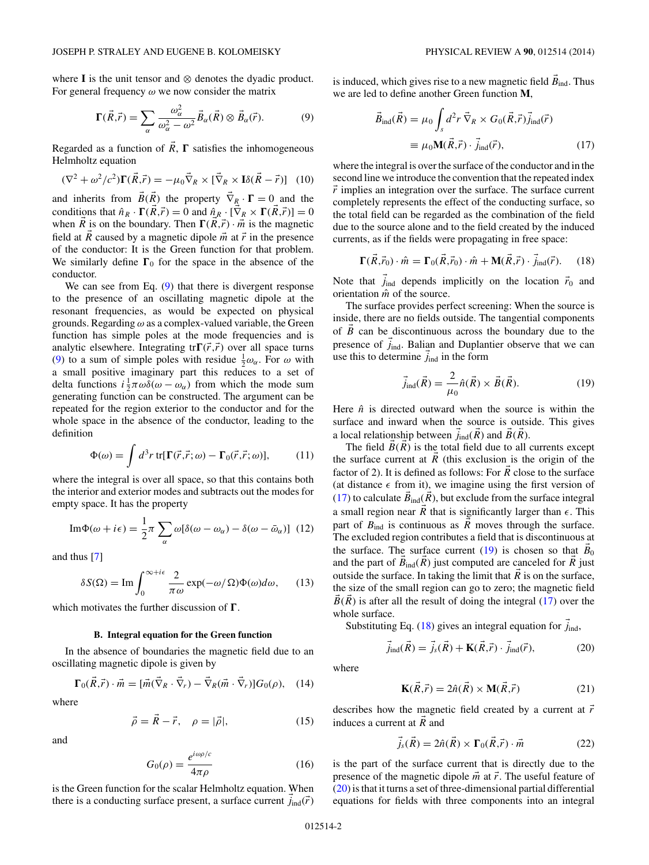<span id="page-1-0"></span>where **I** is the unit tensor and ⊗ denotes the dyadic product. For general frequency *ω* we now consider the matrix

$$
\Gamma(\vec{R},\vec{r}) = \sum_{\alpha} \frac{\omega_{\alpha}^2}{\omega_{\alpha}^2 - \omega^2} \vec{B}_{\alpha}(\vec{R}) \otimes \vec{B}_{\alpha}(\vec{r}).
$$
 (9)

Regarded as a function of  $R$ ,  $\Gamma$  satisfies the inhomogeneous Helmholtz equation

$$
(\nabla^2 + \omega^2/c^2)\mathbf{\Gamma}(\vec{R}, \vec{r}) = -\mu_0 \vec{\nabla}_R \times [\vec{\nabla}_R \times \mathbf{I} \delta(\vec{R} - \vec{r})] \tag{10}
$$

and inherits from  $B(R)$  the property  $\nabla_R \cdot \mathbf{\Gamma} = 0$  and the conditions that  $\hat{n}_R \cdot \Gamma(R, \vec{r}) = 0$  and  $\hat{n}_R \cdot [\nabla_R \times \Gamma(R, \vec{r})] = 0$ when  $\overrightarrow{R}$  is on the boundary. Then  $\Gamma(R, \vec{r}) \cdot \vec{m}$  is the magnetic field at  $\vec{R}$  caused by a magnetic dipole  $\vec{m}$  at  $\vec{r}$  in the presence of the conductor: It is the Green function for that problem. We similarly define  $\Gamma_0$  for the space in the absence of the conductor.

We can see from Eq. (9) that there is divergent response to the presence of an oscillating magnetic dipole at the resonant frequencies, as would be expected on physical grounds. Regarding *ω* as a complex-valued variable, the Green function has simple poles at the mode frequencies and is analytic elsewhere. Integrating  $tr\Gamma(\vec{r}, \vec{r})$  over all space turns (9) to a sum of simple poles with residue  $\frac{1}{2}\omega_{\alpha}$ . For  $\omega$  with a small positive imaginary part this reduces to a set of delta functions  $i \frac{1}{2} \pi \omega \delta(\omega - \omega_\alpha)$  from which the mode sum generating function can be constructed. The argument can be repeated for the region exterior to the conductor and for the whole space in the absence of the conductor, leading to the definition

$$
\Phi(\omega) = \int d^3r \, \text{tr}[\Gamma(\vec{r}, \vec{r}; \omega) - \Gamma_0(\vec{r}, \vec{r}; \omega)],\tag{11}
$$

where the integral is over all space, so that this contains both the interior and exterior modes and subtracts out the modes for empty space. It has the property

$$
\mathrm{Im}\Phi(\omega+i\epsilon) = \frac{1}{2}\pi \sum_{\alpha} \omega[\delta(\omega-\omega_{\alpha})-\delta(\omega-\bar{\omega}_{\alpha})] \tag{12}
$$

and thus [\[7\]](#page-7-0)

$$
\delta S(\Omega) = \text{Im} \int_0^{\infty + i\epsilon} \frac{2}{\pi \omega} \exp(-\omega/\Omega) \Phi(\omega) d\omega, \quad (13)
$$

which motivates the further discussion of  $\Gamma$ .

## **B. Integral equation for the Green function**

In the absence of boundaries the magnetic field due to an oscillating magnetic dipole is given by

$$
\Gamma_0(\vec{R}, \vec{r}) \cdot \vec{m} = [\vec{m}(\vec{\nabla}_R \cdot \vec{\nabla}_r) - \vec{\nabla}_R(\vec{m} \cdot \vec{\nabla}_r)]G_0(\rho), \quad (14)
$$

where

$$
\vec{\rho} = \vec{R} - \vec{r}, \quad \rho = |\vec{\rho}|,\tag{15}
$$

and

$$
G_0(\rho) = \frac{e^{i\omega\rho/c}}{4\pi\rho} \tag{16}
$$

is the Green function for the scalar Helmholtz equation. When there is a conducting surface present, a surface current  $j_{\text{ind}}(\vec{r})$  is induced, which gives rise to a new magnetic field  $\vec{B}_{ind}$ . Thus we are led to define another Green function **M**,

$$
\vec{B}_{\text{ind}}(\vec{R}) = \mu_0 \int_s d^2 r \, \vec{\nabla}_R \times G_0(\vec{R}, \vec{r}) \vec{j}_{\text{ind}}(\vec{r})
$$
\n
$$
\equiv \mu_0 \mathbf{M}(\vec{R}, \vec{r}) \cdot \vec{j}_{\text{ind}}(\vec{r}), \tag{17}
$$

where the integral is over the surface of the conductor and in the second line we introduce the convention that the repeated index  $\vec{r}$  implies an integration over the surface. The surface current completely represents the effect of the conducting surface, so the total field can be regarded as the combination of the field due to the source alone and to the field created by the induced currents, as if the fields were propagating in free space:

$$
\Gamma(\vec{R}, \vec{r}_0) \cdot \hat{m} = \Gamma_0(\vec{R}, \vec{r}_0) \cdot \hat{m} + \mathbf{M}(\vec{R}, \vec{r}) \cdot \vec{j}_{\text{ind}}(\vec{r}). \tag{18}
$$

Note that  $j_{\text{ind}}$  depends implicitly on the location  $\vec{r}_0$  and orientation *m*ˆ of the source.

The surface provides perfect screening: When the source is inside, there are no fields outside. The tangential components of  $\vec{B}$  can be discontinuous across the boundary due to the presence of *j*<sub>ind</sub>. Balian and Duplantier observe that we can use this to determine  $j_{\text{ind}}$  in the form

$$
\vec{j}_{\text{ind}}(\vec{R}) = \frac{2}{\mu_0} \hat{n}(\vec{R}) \times \vec{B}(\vec{R}). \tag{19}
$$

Here  $\hat{n}$  is directed outward when the source is within the surface and inward when the source is outside. This gives a local relationship between  $j_{ind}(R)$  and  $B(R)$ .

The field  $\vec{B}(\vec{R})$  is the total field due to all currents except the surface current at  $\overrightarrow{R}$  (this exclusion is the origin of the factor of 2). It is defined as follows: For *R* close to the surface (at distance  $\epsilon$  from it), we imagine using the first version of (17) to calculate  $B_{ind}(R)$ , but exclude from the surface integral a small region near  $\overrightarrow{R}$  that is significantly larger than  $\epsilon$ . This part of  $B_{\text{ind}}$  is continuous as  $\overrightarrow{R}$  moves through the surface. The excluded region contributes a field that is discontinuous at the surface. The surface current  $(19)$  is chosen so that  $\dot{B}_0$ and the part of  $\vec{B}_{ind}(\vec{R})$  just computed are canceled for  $\vec{R}$  just outside the surface. In taking the limit that  $\vec{R}$  is on the surface, the size of the small region can go to zero; the magnetic field  $B(R)$  is after all the result of doing the integral (17) over the whole surface.

Substituting Eq.  $(18)$  gives an integral equation for  $j<sub>ind</sub>$ ,

$$
\vec{j}_{\text{ind}}(\vec{R}) = \vec{j}_s(\vec{R}) + \mathbf{K}(\vec{R}, \vec{r}) \cdot \vec{j}_{\text{ind}}(\vec{r}), \tag{20}
$$

where

$$
\mathbf{K}(\vec{R}, \vec{r}) = 2\hat{n}(\vec{R}) \times \mathbf{M}(\vec{R}, \vec{r})
$$
 (21)

describes how the magnetic field created by a current at  $\vec{r}$ induces a current at  $\vec{R}$  and

$$
\vec{j}_s(\vec{R}) = 2\hat{n}(\vec{R}) \times \Gamma_0(\vec{R}, \vec{r}) \cdot \vec{m}
$$
 (22)

is the part of the surface current that is directly due to the presence of the magnetic dipole  $\vec{m}$  at  $\vec{r}$ . The useful feature of (20) is that it turns a set of three-dimensional partial differential equations for fields with three components into an integral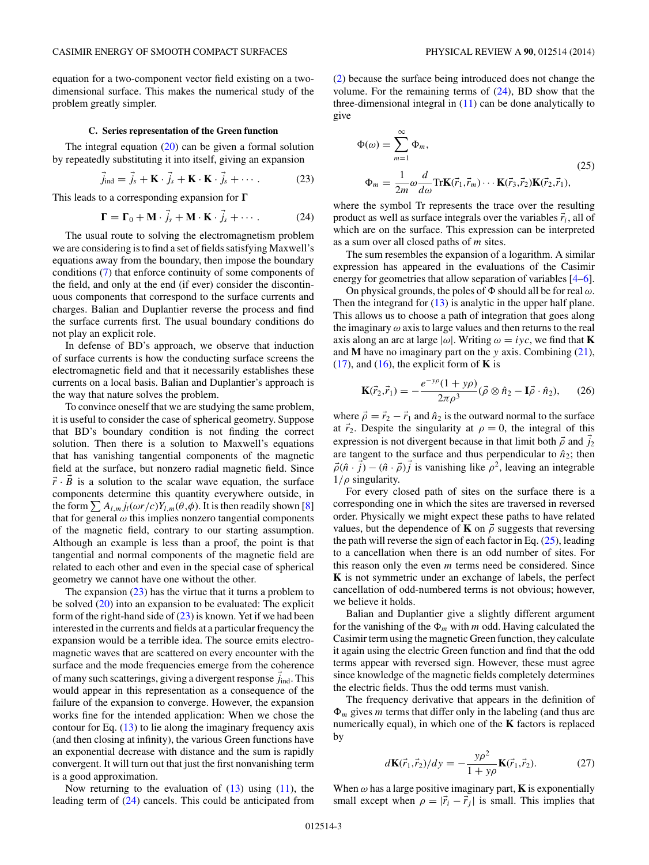<span id="page-2-0"></span>equation for a two-component vector field existing on a twodimensional surface. This makes the numerical study of the problem greatly simpler.

### **C. Series representation of the Green function**

The integral equation  $(20)$  can be given a formal solution by repeatedly substituting it into itself, giving an expansion

$$
\vec{j}_{\text{ind}} = \vec{j}_s + \mathbf{K} \cdot \vec{j}_s + \mathbf{K} \cdot \mathbf{K} \cdot \vec{j}_s + \cdots. \tag{23}
$$

This leads to a corresponding expansion for  $\Gamma$ 

$$
\mathbf{\Gamma} = \mathbf{\Gamma}_0 + \mathbf{M} \cdot j_s + \mathbf{M} \cdot \mathbf{K} \cdot j_s + \cdots. \tag{24}
$$

The usual route to solving the electromagnetism problem we are considering is to find a set of fields satisfying Maxwell's equations away from the boundary, then impose the boundary conditions [\(7\)](#page-0-0) that enforce continuity of some components of the field, and only at the end (if ever) consider the discontinuous components that correspond to the surface currents and charges. Balian and Duplantier reverse the process and find the surface currents first. The usual boundary conditions do not play an explicit role.

In defense of BD's approach, we observe that induction of surface currents is how the conducting surface screens the electromagnetic field and that it necessarily establishes these currents on a local basis. Balian and Duplantier's approach is the way that nature solves the problem.

To convince oneself that we are studying the same problem, it is useful to consider the case of spherical geometry. Suppose that BD's boundary condition is not finding the correct solution. Then there is a solution to Maxwell's equations that has vanishing tangential components of the magnetic field at the surface, but nonzero radial magnetic field. Since  $\vec{r} \cdot \vec{B}$  is a solution to the scalar wave equation, the surface components determine this quantity everywhere outside, in the form  $\sum A_{l,m} j_l(\omega r/c) Y_{l,m}(\theta,\phi)$ . It is then readily shown [\[8\]](#page-7-0) that for general  $\omega$  this implies nonzero tangential components of the magnetic field, contrary to our starting assumption. Although an example is less than a proof, the point is that tangential and normal components of the magnetic field are related to each other and even in the special case of spherical geometry we cannot have one without the other.

The expansion  $(23)$  has the virtue that it turns a problem to be solved [\(20\)](#page-1-0) into an expansion to be evaluated: The explicit form of the right-hand side of  $(23)$  is known. Yet if we had been interested in the currents and fields at a particular frequency the expansion would be a terrible idea. The source emits electromagnetic waves that are scattered on every encounter with the surface and the mode frequencies emerge from the coherence of many such scatterings, giving a divergent response  $j_{\text{ind}}$ . This would appear in this representation as a consequence of the failure of the expansion to converge. However, the expansion works fine for the intended application: When we chose the contour for Eq.  $(13)$  to lie along the imaginary frequency axis (and then closing at infinity), the various Green functions have an exponential decrease with distance and the sum is rapidly convergent. It will turn out that just the first nonvanishing term is a good approximation.

Now returning to the evaluation of  $(13)$  using  $(11)$ , the leading term of (24) cancels. This could be anticipated from

[\(2\)](#page-0-0) because the surface being introduced does not change the volume. For the remaining terms of  $(24)$ , BD show that the three-dimensional integral in  $(11)$  can be done analytically to give

$$
\Phi(\omega) = \sum_{m=1}^{\infty} \Phi_m,
$$
\n
$$
\Phi_m = \frac{1}{2m} \omega \frac{d}{d\omega} \text{Tr} \mathbf{K}(\vec{r}_1, \vec{r}_m) \cdots \mathbf{K}(\vec{r}_3, \vec{r}_2) \mathbf{K}(\vec{r}_2, \vec{r}_1),
$$
\n(25)

where the symbol Tr represents the trace over the resulting product as well as surface integrals over the variables  $\vec{r}_i$ , all of which are on the surface. This expression can be interpreted as a sum over all closed paths of *m* sites.

The sum resembles the expansion of a logarithm. A similar expression has appeared in the evaluations of the Casimir energy for geometries that allow separation of variables [\[4–6\]](#page-7-0).

On physical grounds, the poles of  $\Phi$  should all be for real  $\omega$ . Then the integrand for  $(13)$  is analytic in the upper half plane. This allows us to choose a path of integration that goes along the imaginary *ω* axis to large values and then returns to the real axis along an arc at large  $|\omega|$ . Writing  $\omega = i \gamma c$ , we find that **K** and **M** have no imaginary part on the *y* axis. Combining [\(21\)](#page-1-0),  $(17)$ , and  $(16)$ , the explicit form of **K** is

$$
\mathbf{K}(\vec{r}_2, \vec{r}_1) = -\frac{e^{-y\rho}(1+y\rho)}{2\pi\rho^3} (\vec{\rho} \otimes \hat{n}_2 - \mathbf{I}\vec{\rho} \cdot \hat{n}_2), \qquad (26)
$$

where  $\vec{\rho} = \vec{r}_2 - \vec{r}_1$  and  $\hat{n}_2$  is the outward normal to the surface at  $\vec{r}_2$ . Despite the singularity at  $\rho = 0$ , the integral of this expression is not divergent because in that limit both  $\vec{\rho}$  and  $j_2$ are tangent to the surface and thus perpendicular to  $\hat{n}_2$ ; then  $\vec{\rho}$ ( $\hat{n}$  ·  $\vec{j}$ ) – ( $\hat{n}$  ·  $\vec{\rho}$ ) $\vec{j}$  is vanishing like  $\rho^2$ , leaving an integrable 1*/ρ* singularity.

For every closed path of sites on the surface there is a corresponding one in which the sites are traversed in reversed order. Physically we might expect these paths to have related values, but the dependence of **K** on  $\vec{\rho}$  suggests that reversing the path will reverse the sign of each factor in Eq.  $(25)$ , leading to a cancellation when there is an odd number of sites. For this reason only the even *m* terms need be considered. Since **K** is not symmetric under an exchange of labels, the perfect cancellation of odd-numbered terms is not obvious; however, we believe it holds.

Balian and Duplantier give a slightly different argument for the vanishing of the  $\Phi_m$  with *m* odd. Having calculated the Casimir term using the magnetic Green function, they calculate it again using the electric Green function and find that the odd terms appear with reversed sign. However, these must agree since knowledge of the magnetic fields completely determines the electric fields. Thus the odd terms must vanish.

The frequency derivative that appears in the definition of  $\Phi_m$  gives *m* terms that differ only in the labeling (and thus are numerically equal), in which one of the **K** factors is replaced by

$$
d\mathbf{K}(\vec{r}_1, \vec{r}_2)/dy = -\frac{y\rho^2}{1 + y\rho} \mathbf{K}(\vec{r}_1, \vec{r}_2).
$$
 (27)

When  $\omega$  has a large positive imaginary part, **K** is exponentially small except when  $\rho = |\vec{r}_i - \vec{r}_j|$  is small. This implies that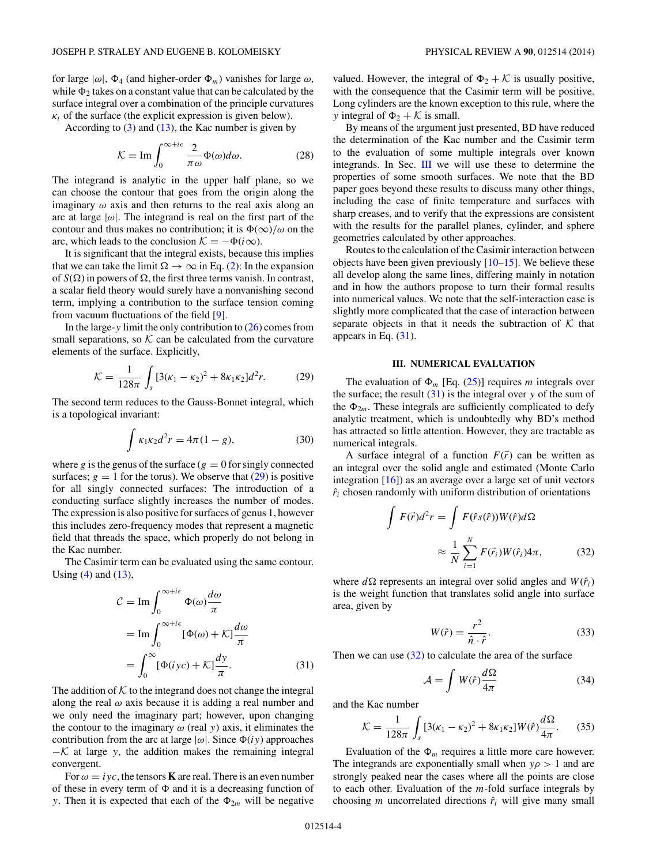<span id="page-3-0"></span>for large  $|\omega|$ ,  $\Phi_4$  (and higher-order  $\Phi_m$ ) vanishes for large  $\omega$ , while  $\Phi_2$  takes on a constant value that can be calculated by the surface integral over a combination of the principle curvatures  $\kappa_i$  of the surface (the explicit expression is given below).

According to  $(3)$  and  $(13)$ , the Kac number is given by

$$
\mathcal{K} = \text{Im} \int_0^{\infty + i\epsilon} \frac{2}{\pi \omega} \Phi(\omega) d\omega.
$$
 (28)

The integrand is analytic in the upper half plane, so we can choose the contour that goes from the origin along the imaginary  $\omega$  axis and then returns to the real axis along an arc at large  $|\omega|$ . The integrand is real on the first part of the contour and thus makes no contribution; it is  $\Phi(\infty)/\omega$  on the arc, which leads to the conclusion  $\mathcal{K} = -\Phi(i\infty)$ .

It is significant that the integral exists, because this implies that we can take the limit  $\Omega \to \infty$  in Eq. [\(2\)](#page-0-0): In the expansion of  $S(\Omega)$  in powers of  $\Omega$ , the first three terms vanish. In contrast, a scalar field theory would surely have a nonvanishing second term, implying a contribution to the surface tension coming from vacuum fluctuations of the field [\[9\]](#page-7-0).

In the large-*y* limit the only contribution to [\(26\)](#page-2-0) comes from small separations, so  $K$  can be calculated from the curvature elements of the surface. Explicitly,

$$
\mathcal{K} = \frac{1}{128\pi} \int_{s} \left[ 3(\kappa_1 - \kappa_2)^2 + 8\kappa_1 \kappa_2 \right] d^2 r. \tag{29}
$$

The second term reduces to the Gauss-Bonnet integral, which is a topological invariant:

$$
\int \kappa_1 \kappa_2 d^2 r = 4\pi (1 - g),\tag{30}
$$

where *g* is the genus of the surface ( $g = 0$  for singly connected surfaces;  $g = 1$  for the torus). We observe that  $(29)$  is positive for all singly connected surfaces: The introduction of a conducting surface slightly increases the number of modes. The expression is also positive for surfaces of genus 1, however this includes zero-frequency modes that represent a magnetic field that threads the space, which properly do not belong in the Kac number.

The Casimir term can be evaluated using the same contour. Using  $(4)$  and  $(13)$ ,

$$
\mathcal{C} = \operatorname{Im} \int_0^{\infty + i\epsilon} \Phi(\omega) \frac{d\omega}{\pi}
$$
  
= 
$$
\operatorname{Im} \int_0^{\infty + i\epsilon} [\Phi(\omega) + \mathcal{K}] \frac{d\omega}{\pi}
$$
  
= 
$$
\int_0^{\infty} [\Phi(iyc) + \mathcal{K}] \frac{dy}{\pi}.
$$
 (31)

The addition of  $K$  to the integrand does not change the integral along the real  $\omega$  axis because it is adding a real number and we only need the imaginary part; however, upon changing the contour to the imaginary  $\omega$  (real  $y$ ) axis, it eliminates the contribution from the arc at large  $|\omega|$ . Since  $\Phi(iy)$  approaches  $-K$  at large *y*, the addition makes the remaining integral convergent.

For  $\omega = iyc$ , the tensors **K** are real. There is an even number of these in every term of  $\Phi$  and it is a decreasing function of *y*. Then it is expected that each of the  $\Phi_{2m}$  will be negative

valued. However, the integral of  $\Phi_2 + \mathcal{K}$  is usually positive, with the consequence that the Casimir term will be positive. Long cylinders are the known exception to this rule, where the *y* integral of  $\Phi_2 + \mathcal{K}$  is small.

By means of the argument just presented, BD have reduced the determination of the Kac number and the Casimir term to the evaluation of some multiple integrals over known integrands. In Sec. III we will use these to determine the properties of some smooth surfaces. We note that the BD paper goes beyond these results to discuss many other things, including the case of finite temperature and surfaces with sharp creases, and to verify that the expressions are consistent with the results for the parallel planes, cylinder, and sphere geometries calculated by other approaches.

Routes to the calculation of the Casimir interaction between objects have been given previously  $[10-15]$ . We believe these all develop along the same lines, differing mainly in notation and in how the authors propose to turn their formal results into numerical values. We note that the self-interaction case is slightly more complicated that the case of interaction between separate objects in that it needs the subtraction of  $K$  that appears in Eq. (31).

## **III. NUMERICAL EVALUATION**

The evaluation of  $\Phi_m$  [Eq. [\(25\)](#page-2-0)] requires *m* integrals over the surface; the result  $(31)$  is the integral over *y* of the sum of the  $\Phi_{2m}$ . These integrals are sufficiently complicated to defy analytic treatment, which is undoubtedly why BD's method has attracted so little attention. However, they are tractable as numerical integrals.

A surface integral of a function  $F(\vec{r})$  can be written as an integral over the solid angle and estimated (Monte Carlo integration [\[16\]](#page-7-0)) as an average over a large set of unit vectors  $\hat{r}_i$  chosen randomly with uniform distribution of orientations

$$
F(\vec{r})d^2r = \int F(\hat{r}s(\hat{r}))W(\hat{r})d\Omega
$$

$$
\approx \frac{1}{N}\sum_{i=1}^N F(\vec{r}_i)W(\hat{r}_i)4\pi, \qquad (32)
$$

where  $d\Omega$  represents an integral over solid angles and  $W(\hat{r}_i)$ is the weight function that translates solid angle into surface area, given by

$$
W(\hat{r}) = \frac{r^2}{\hat{n} \cdot \hat{r}}.
$$
\n(33)

Then we can use  $(32)$  to calculate the area of the surface

$$
\mathcal{A} = \int W(\hat{r}) \frac{d\Omega}{4\pi} \tag{34}
$$

and the Kac number

 $\overline{a}$ 

$$
\mathcal{K} = \frac{1}{128\pi} \int_{s} \left[ 3(\kappa_1 - \kappa_2)^2 + 8\kappa_1 \kappa_2 \right] W(\hat{r}) \frac{d\Omega}{4\pi}.
$$
 (35)

Evaluation of the  $\Phi_m$  requires a little more care however. The integrands are exponentially small when  $y\rho > 1$  and are strongly peaked near the cases where all the points are close to each other. Evaluation of the *m*-fold surface integrals by choosing *m* uncorrelated directions  $\hat{r}_i$  will give many small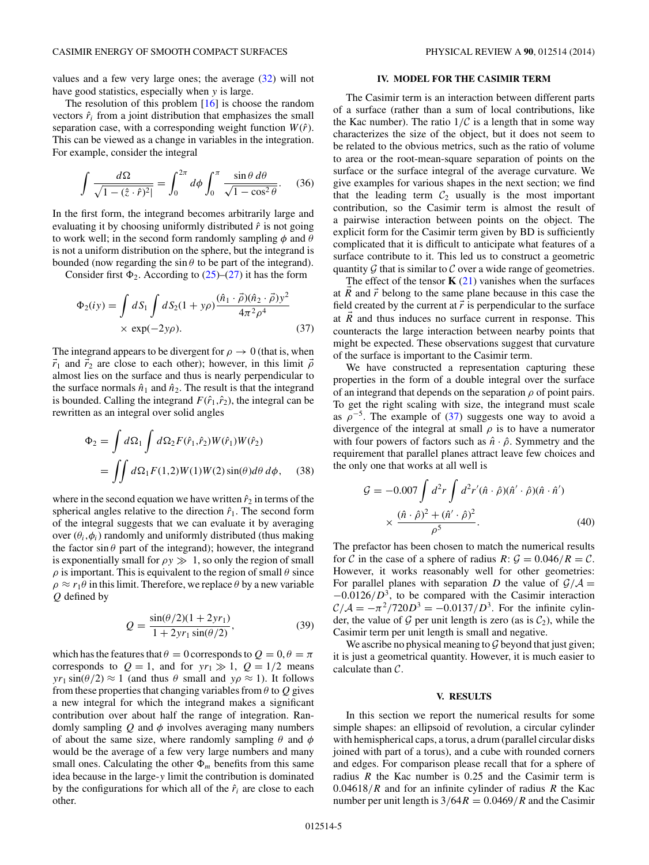The resolution of this problem  $[16]$  is choose the random vectors  $\hat{r}_i$  from a joint distribution that emphasizes the small separation case, with a corresponding weight function  $W(\hat{r})$ . This can be viewed as a change in variables in the integration. For example, consider the integral

$$
\int \frac{d\Omega}{\sqrt{1 - (\hat{z} \cdot \hat{r})^2}} = \int_0^{2\pi} d\phi \int_0^{\pi} \frac{\sin \theta \, d\theta}{\sqrt{1 - \cos^2 \theta}}. \quad (36)
$$

In the first form, the integrand becomes arbitrarily large and evaluating it by choosing uniformly distributed  $\hat{r}$  is not going to work well; in the second form randomly sampling *φ* and *θ* is not a uniform distribution on the sphere, but the integrand is bounded (now regarding the  $\sin \theta$  to be part of the integrand).

Consider first  $\Phi_2$ . According to [\(25\)](#page-2-0)–[\(27\)](#page-2-0) it has the form

$$
\Phi_2(iy) = \int dS_1 \int dS_2 (1 + y\rho) \frac{(\hat{n}_1 \cdot \vec{\rho})(\hat{n}_2 \cdot \vec{\rho})y^2}{4\pi^2 \rho^4} \times \exp(-2y\rho).
$$
\n(37)

The integrand appears to be divergent for  $\rho \to 0$  (that is, when  $\vec{r}_1$  and  $\vec{r}_2$  are close to each other); however, in this limit  $\vec{\rho}$ almost lies on the surface and thus is nearly perpendicular to the surface normals  $\hat{n}_1$  and  $\hat{n}_2$ . The result is that the integrand is bounded. Calling the integrand  $F(\hat{r}_1, \hat{r}_2)$ , the integral can be rewritten as an integral over solid angles

$$
\Phi_2 = \int d\Omega_1 \int d\Omega_2 F(\hat{r}_1, \hat{r}_2) W(\hat{r}_1) W(\hat{r}_2)
$$
  
= 
$$
\iint d\Omega_1 F(1, 2) W(1) W(2) \sin(\theta) d\theta d\phi, \quad (38)
$$

where in the second equation we have written  $\hat{r}_2$  in terms of the spherical angles relative to the direction  $\hat{r}_1$ . The second form of the integral suggests that we can evaluate it by averaging over  $(\theta_i, \phi_i)$  randomly and uniformly distributed (thus making the factor  $\sin \theta$  part of the integrand); however, the integrand is exponentially small for  $\rho y \gg 1$ , so only the region of small  $\rho$  is important. This is equivalent to the region of small  $\theta$  since  $\rho \approx r_1 \theta$  in this limit. Therefore, we replace  $\theta$  by a new variable *Q* defined by

$$
Q = \frac{\sin(\theta/2)(1 + 2yr_1)}{1 + 2yr_1 \sin(\theta/2)},
$$
\n(39)

which has the features that  $\theta = 0$  corresponds to  $Q = 0, \theta = \pi$ corresponds to  $Q = 1$ , and for  $yr_1 \gg 1$ ,  $Q = 1/2$  means *yr*<sub>1</sub> sin( $\theta$ /2)  $\approx$  1 (and thus  $\theta$  small and *y* $\rho \approx$  1). It follows from these properties that changing variables from *θ* to *Q* gives a new integral for which the integrand makes a significant contribution over about half the range of integration. Randomly sampling  $Q$  and  $\phi$  involves averaging many numbers of about the same size, where randomly sampling *θ* and *φ* would be the average of a few very large numbers and many small ones. Calculating the other  $\Phi_m$  benefits from this same idea because in the large-*y* limit the contribution is dominated by the configurations for which all of the  $\hat{r}_i$  are close to each other.

### **IV. MODEL FOR THE CASIMIR TERM**

The Casimir term is an interaction between different parts of a surface (rather than a sum of local contributions, like the Kac number). The ratio  $1/\mathcal{C}$  is a length that in some way characterizes the size of the object, but it does not seem to be related to the obvious metrics, such as the ratio of volume to area or the root-mean-square separation of points on the surface or the surface integral of the average curvature. We give examples for various shapes in the next section; we find that the leading term  $C_2$  usually is the most important contribution, so the Casimir term is almost the result of a pairwise interaction between points on the object. The explicit form for the Casimir term given by BD is sufficiently complicated that it is difficult to anticipate what features of a surface contribute to it. This led us to construct a geometric quantity  $G$  that is similar to  $C$  over a wide range of geometries.

The effect of the tensor  $\mathbf{K}$  [\(21\)](#page-1-0) vanishes when the surfaces at *R* and *r* belong to the same plane because in this case the field created by the current at  $\vec{r}$  is perpendicular to the surface at *R* and thus induces no surface current in response. This counteracts the large interaction between nearby points that might be expected. These observations suggest that curvature of the surface is important to the Casimir term.

We have constructed a representation capturing these properties in the form of a double integral over the surface of an integrand that depends on the separation *ρ* of point pairs. To get the right scaling with size, the integrand must scale as  $\rho^{-5}$ . The example of (37) suggests one way to avoid a divergence of the integral at small *ρ* is to have a numerator with four powers of factors such as  $\hat{n} \cdot \hat{\rho}$ . Symmetry and the requirement that parallel planes attract leave few choices and the only one that works at all well is

$$
\mathcal{G} = -0.007 \int d^2 r \int d^2 r' (\hat{n} \cdot \hat{\rho}) (\hat{n}' \cdot \hat{\rho}) (\hat{n} \cdot \hat{n}')
$$
  
 
$$
\times \frac{(\hat{n} \cdot \hat{\rho})^2 + (\hat{n}' \cdot \hat{\rho})^2}{\rho^5}.
$$
 (40)

The prefactor has been chosen to match the numerical results for C in the case of a sphere of radius  $R: \mathcal{G} = 0.046/R = C$ . However, it works reasonably well for other geometries: For parallel planes with separation *D* the value of  $\mathcal{G}/\mathcal{A} =$  $-0.0126/D^3$ , to be compared with the Casimir interaction  $C/A = -\pi^2/720D^3 = -0.0137/D^3$ . For the infinite cylinder, the value of  $G$  per unit length is zero (as is  $C_2$ ), while the Casimir term per unit length is small and negative.

We ascribe no physical meaning to  $G$  beyond that just given; it is just a geometrical quantity. However, it is much easier to calculate than C.

#### **V. RESULTS**

In this section we report the numerical results for some simple shapes: an ellipsoid of revolution, a circular cylinder with hemispherical caps, a torus, a drum (parallel circular disks joined with part of a torus), and a cube with rounded corners and edges. For comparison please recall that for a sphere of radius *R* the Kac number is 0*.*25 and the Casimir term is 0*.*04618*/R* and for an infinite cylinder of radius *R* the Kac number per unit length is  $3/64R = 0.0469/R$  and the Casimir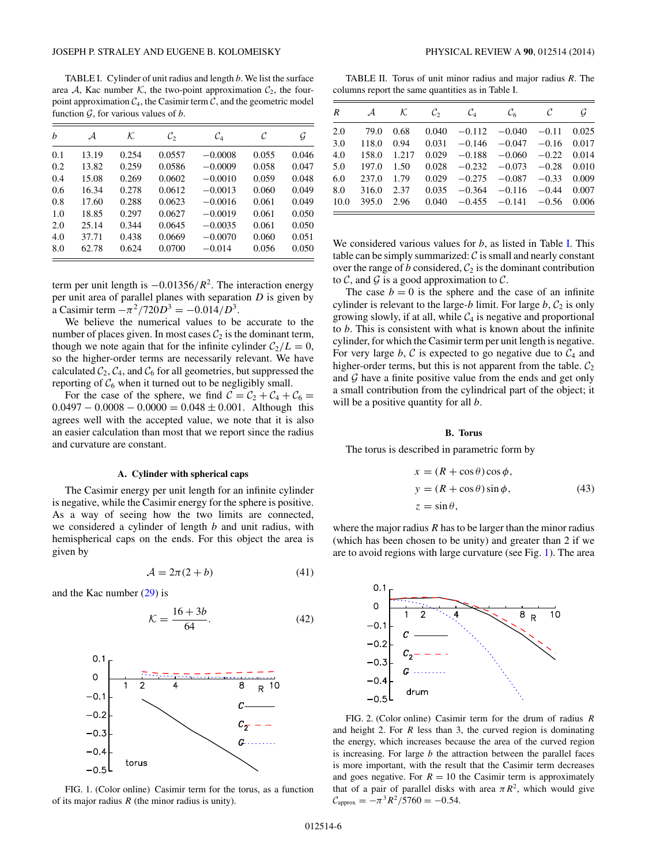<span id="page-5-0"></span>TABLE I. Cylinder of unit radius and length *b*. We list the surface area A, Kac number K, the two-point approximation  $C_2$ , the fourpoint approximation  $C_4$ , the Casimir term  $C_4$ , and the geometric model function  $G$ , for various values of  $b$ .

| h   | А     | К     | $\mathcal{C}_2$ | $\mathcal{C}_4$ | C     | G     |
|-----|-------|-------|-----------------|-----------------|-------|-------|
| 0.1 | 13.19 | 0.254 | 0.0557          | $-0.0008$       | 0.055 | 0.046 |
| 0.2 | 13.82 | 0.259 | 0.0586          | $-0.0009$       | 0.058 | 0.047 |
| 0.4 | 15.08 | 0.269 | 0.0602          | $-0.0010$       | 0.059 | 0.048 |
| 0.6 | 16.34 | 0.278 | 0.0612          | $-0.0013$       | 0.060 | 0.049 |
| 0.8 | 17.60 | 0.288 | 0.0623          | $-0.0016$       | 0.061 | 0.049 |
| 1.0 | 18.85 | 0.297 | 0.0627          | $-0.0019$       | 0.061 | 0.050 |
| 2.0 | 25.14 | 0.344 | 0.0645          | $-0.0035$       | 0.061 | 0.050 |
| 4.0 | 37.71 | 0.438 | 0.0669          | $-0.0070$       | 0.060 | 0.051 |
| 8.0 | 62.78 | 0.624 | 0.0700          | $-0.014$        | 0.056 | 0.050 |

term per unit length is <sup>−</sup>0*.*01356*/R*2. The interaction energy per unit area of parallel planes with separation *D* is given by a Casimir term  $-\pi^2/720D^3 = -0.014/D^3$ .

We believe the numerical values to be accurate to the number of places given. In most cases  $C_2$  is the dominant term, though we note again that for the infinite cylinder  $C_2/L = 0$ , so the higher-order terms are necessarily relevant. We have calculated  $C_2$ ,  $C_4$ , and  $C_6$  for all geometries, but suppressed the reporting of  $C_6$  when it turned out to be negligibly small.

For the case of the sphere, we find  $C = C_2 + C_4 + C_6 =$  $0.0497 - 0.0008 - 0.0000 = 0.048 \pm 0.001$ . Although this agrees well with the accepted value, we note that it is also an easier calculation than most that we report since the radius and curvature are constant.

## **A. Cylinder with spherical caps**

The Casimir energy per unit length for an infinite cylinder is negative, while the Casimir energy for the sphere is positive. As a way of seeing how the two limits are connected, we considered a cylinder of length *b* and unit radius, with hemispherical caps on the ends. For this object the area is given by

$$
\mathcal{A} = 2\pi(2+b) \tag{41}
$$

and the Kac number [\(29\)](#page-3-0) is

$$
\mathcal{K} = \frac{16 + 3b}{64}.\tag{42}
$$



FIG. 1. (Color online) Casimir term for the torus, as a function of its major radius *R* (the minor radius is unity).

TABLE II. Torus of unit minor radius and major radius *R*. The columns report the same quantities as in Table I.

| $\overline{R}$ | $\mathcal{A}$ | ĸ     | $\mathcal{C}_{2}$ | $\mathcal{C}_4$ | $\mathcal{C}_{6}$ | C       | G     |
|----------------|---------------|-------|-------------------|-----------------|-------------------|---------|-------|
| 2.0            | 79.0          | 0.68  | 0.040             |                 | $-0.112 - 0.040$  | $-0.11$ | 0.025 |
| 3.0            | 118.0         | 0.94  | 0.031             | $-0.146$        | $-0.047$          | $-0.16$ | 0.017 |
| 4.0            | 158.0         | 1.217 | 0.029             | $-0.188$        | $-0.060$          | $-0.22$ | 0.014 |
| 5.0            | 197.0         | 1.50  | 0.028             | $-0.232$        | $-0.073$          | $-0.28$ | 0.010 |
| 6.0            | 237.0         | 1.79  | 0.029             | $-0.275$        | $-0.087$          | $-0.33$ | 0.009 |
| 8.0            | 316.0         | 2.37  | 0.035             | $-0.364$        | $-0.116$          | $-0.44$ | 0.007 |
| 10.0           | 395.0         | 2.96  | 0.040             |                 | $-0.455 -0.141$   | $-0.56$ | 0.006 |

We considered various values for *b*, as listed in Table I. This table can be simply summarized:  $\mathcal C$  is small and nearly constant over the range of *b* considered,  $C_2$  is the dominant contribution to  $\mathcal{C}$ , and  $\mathcal{G}$  is a good approximation to  $\mathcal{C}$ .

The case  $b = 0$  is the sphere and the case of an infinite cylinder is relevant to the large- $b$  limit. For large  $b$ ,  $C_2$  is only growing slowly, if at all, while  $C_4$  is negative and proportional to *b*. This is consistent with what is known about the infinite cylinder, for which the Casimir term per unit length is negative. For very large  $b, C$  is expected to go negative due to  $C_4$  and higher-order terms, but this is not apparent from the table.  $C_2$ and  $G$  have a finite positive value from the ends and get only a small contribution from the cylindrical part of the object; it will be a positive quantity for all *b*.

### **B. Torus**

The torus is described in parametric form by

$$
x = (R + \cos \theta) \cos \phi,
$$
  
\n
$$
y = (R + \cos \theta) \sin \phi,
$$
  
\n
$$
z = \sin \theta,
$$
\n(43)

where the major radius *R* has to be larger than the minor radius (which has been chosen to be unity) and greater than 2 if we are to avoid regions with large curvature (see Fig. 1). The area



FIG. 2. (Color online) Casimir term for the drum of radius *R* and height 2. For *R* less than 3, the curved region is dominating the energy, which increases because the area of the curved region is increasing. For large *b* the attraction between the parallel faces is more important, with the result that the Casimir term decreases and goes negative. For  $R = 10$  the Casimir term is approximately that of a pair of parallel disks with area  $\pi R^2$ , which would give  $C_{\text{approx}} = -\pi^3 R^2 / 5760 = -0.54.$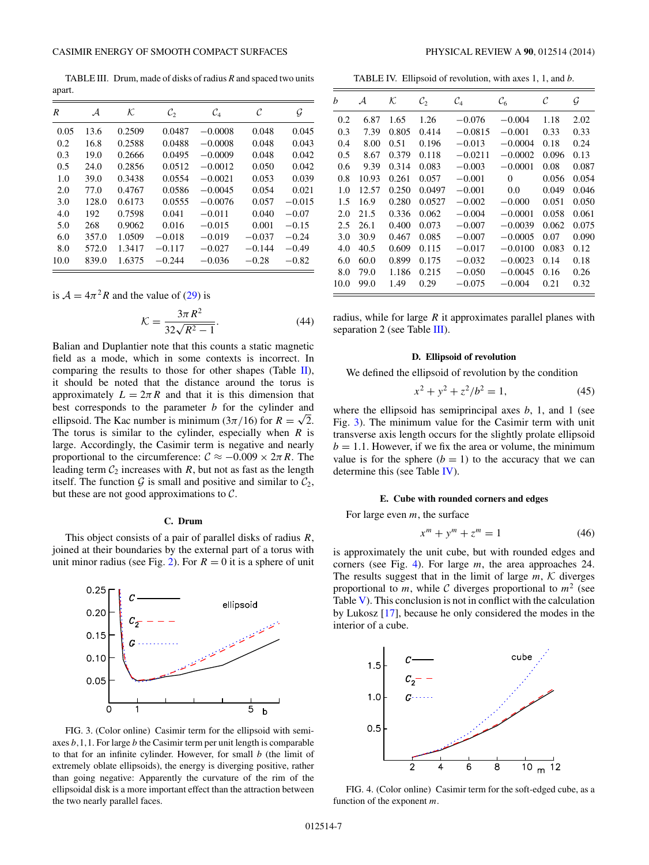TABLE III. Drum, made of disks of radius *R* and spaced two units apart.

| R    | ${\cal A}$ | К.     | $\mathcal{C}_2$ | $\mathcal{C}_4$ | C        | G        |
|------|------------|--------|-----------------|-----------------|----------|----------|
| 0.05 | 13.6       | 0.2509 | 0.0487          | $-0.0008$       | 0.048    | 0.045    |
| 0.2  | 16.8       | 0.2588 | 0.0488          | $-0.0008$       | 0.048    | 0.043    |
| 0.3  | 19.0       | 0.2666 | 0.0495          | $-0.0009$       | 0.048    | 0.042    |
| 0.5  | 24.0       | 0.2856 | 0.0512          | $-0.0012$       | 0.050    | 0.042    |
| 1.0  | 39.0       | 0.3438 | 0.0554          | $-0.0021$       | 0.053    | 0.039    |
| 2.0  | 77.0       | 0.4767 | 0.0586          | $-0.0045$       | 0.054    | 0.021    |
| 3.0  | 128.0      | 0.6173 | 0.0555          | $-0.0076$       | 0.057    | $-0.015$ |
| 4.0  | 192        | 0.7598 | 0.041           | $-0.011$        | 0.040    | $-0.07$  |
| 5.0  | 268        | 0.9062 | 0.016           | $-0.015$        | 0.001    | $-0.15$  |
| 6.0  | 357.0      | 1.0509 | $-0.018$        | $-0.019$        | $-0.037$ | $-0.24$  |
| 8.0  | 572.0      | 1.3417 | $-0.117$        | $-0.027$        | $-0.144$ | $-0.49$  |
| 10.0 | 839.0      | 1.6375 | $-0.244$        | $-0.036$        | $-0.28$  | $-0.82$  |

is  $A = 4\pi^2 R$  and the value of [\(29\)](#page-3-0) is

$$
\mathcal{K} = \frac{3\pi R^2}{32\sqrt{R^2 - 1}}.
$$
\n(44)

Balian and Duplantier note that this counts a static magnetic field as a mode, which in some contexts is incorrect. In comparing the results to those for other shapes (Table  $\mathbf{II}$ ), it should be noted that the distance around the torus is approximately  $L = 2\pi R$  and that it is this dimension that best corresponds to the parameter *b* for the cylinder and ellipsoid. The Kac number is minimum ( $3\pi/16$ ) for  $R = \sqrt{2}$ . The torus is similar to the cylinder, especially when *R* is large. Accordingly, the Casimir term is negative and nearly proportional to the circumference:  $C \approx -0.009 \times 2\pi R$ . The leading term  $C_2$  increases with  $R$ , but not as fast as the length itself. The function  $G$  is small and positive and similar to  $C_2$ , but these are not good approximations to  $C$ .

## **C. Drum**

This object consists of a pair of parallel disks of radius *R*, joined at their boundaries by the external part of a torus with unit minor radius (see Fig. [2\)](#page-5-0). For  $R = 0$  it is a sphere of unit



FIG. 3. (Color online) Casimir term for the ellipsoid with semiaxes *b,*1*,*1. For large *b* the Casimir term per unit length is comparable to that for an infinite cylinder. However, for small *b* (the limit of extremely oblate ellipsoids), the energy is diverging positive, rather than going negative: Apparently the curvature of the rim of the ellipsoidal disk is a more important effect than the attraction between the two nearly parallel faces.

TABLE IV. Ellipsoid of revolution, with axes 1, 1, and *b*.

| b    | А     | $\cal K$ | $\mathcal{C}_2$ | $\mathcal{C}_4$ | $\mathcal{C}_6$ | C     | G     |
|------|-------|----------|-----------------|-----------------|-----------------|-------|-------|
| 0.2  | 6.87  | 1.65     | 1.26            | $-0.076$        | $-0.004$        | 1.18  | 2.02  |
| 0.3  | 7.39  | 0.805    | 0.414           | $-0.0815$       | $-0.001$        | 0.33  | 0.33  |
| 0.4  | 8.00  | 0.51     | 0.196           | $-0.013$        | $-0.0004$       | 0.18  | 0.24  |
| 0.5  | 8.67  | 0.379    | 0.118           | $-0.0211$       | $-0.0002$       | 0.096 | 0.13  |
| 0.6  | 9.39  | 0.314    | 0.083           | $-0.003$        | $-0.0001$       | 0.08  | 0.087 |
| 0.8  | 10.93 | 0.261    | 0.057           | $-0.001$        | $\Omega$        | 0.056 | 0.054 |
| 1.0  | 12.57 | 0.250    | 0.0497          | $-0.001$        | 0.0             | 0.049 | 0.046 |
| 1.5  | 16.9  | 0.280    | 0.0527          | $-0.002$        | $-0.000$        | 0.051 | 0.050 |
| 2.0  | 21.5  | 0.336    | 0.062           | $-0.004$        | $-0.0001$       | 0.058 | 0.061 |
| 2.5  | 26.1  | 0.400    | 0.073           | $-0.007$        | $-0.0039$       | 0.062 | 0.075 |
| 3.0  | 30.9  | 0.467    | 0.085           | $-0.007$        | $-0.0005$       | 0.07  | 0.090 |
| 4.0  | 40.5  | 0.609    | 0.115           | $-0.017$        | $-0.0100$       | 0.083 | 0.12  |
| 6.0  | 60.0  | 0.899    | 0.175           | $-0.032$        | $-0.0023$       | 0.14  | 0.18  |
| 8.0  | 79.0  | 1.186    | 0.215           | $-0.050$        | $-0.0045$       | 0.16  | 0.26  |
| 10.0 | 99.0  | 1.49     | 0.29            | $-0.075$        | $-0.004$        | 0.21  | 0.32  |

radius, while for large *R* it approximates parallel planes with separation 2 (see Table III).

#### **D. Ellipsoid of revolution**

We defined the ellipsoid of revolution by the condition

$$
x^2 + y^2 + z^2/b^2 = 1,
$$
 (45)

where the ellipsoid has semiprincipal axes *b*, 1, and 1 (see Fig. 3). The minimum value for the Casimir term with unit transverse axis length occurs for the slightly prolate ellipsoid  $b = 1.1$ . However, if we fix the area or volume, the minimum value is for the sphere  $(b = 1)$  to the accuracy that we can determine this (see Table IV).

### **E. Cube with rounded corners and edges**

For large even *m*, the surface

$$
x^m + y^m + z^m = 1 \tag{46}
$$

is approximately the unit cube, but with rounded edges and corners (see Fig. 4). For large *m*, the area approaches 24. The results suggest that in the limit of large  $m$ ,  $K$  diverges proportional to *m*, while C diverges proportional to  $m^2$  (see Table  $V$ ). This conclusion is not in conflict with the calculation by Lukosz [\[17\]](#page-7-0), because he only considered the modes in the interior of a cube.



FIG. 4. (Color online) Casimir term for the soft-edged cube, as a function of the exponent *m*.